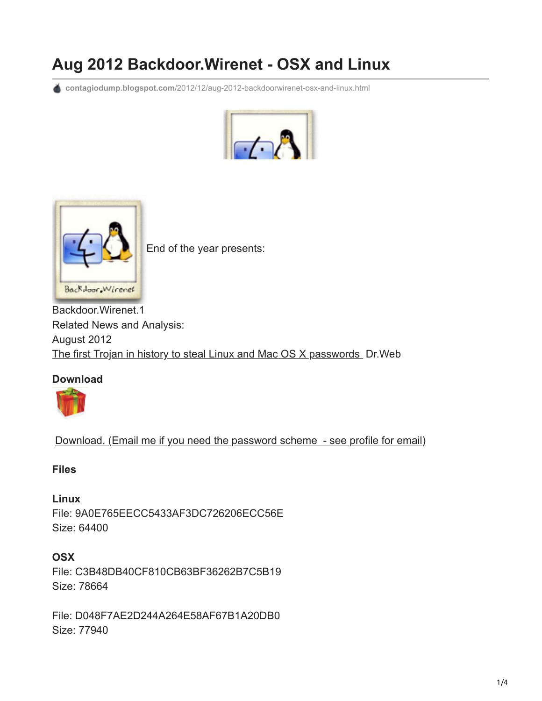# **Aug 2012 Backdoor.Wirenet - OSX and Linux**

**contagiodump.blogspot.com**[/2012/12/aug-2012-backdoorwirenet-osx-and-linux.html](http://contagiodump.blogspot.com/2012/12/aug-2012-backdoorwirenet-osx-and-linux.html)





[E](http://3.bp.blogspot.com/-odSebgrIeKg/UNfFJYcgQYI/AAAAAAAAGJg/U4zEIOJhUc8/s1600/wirenet).PNG)nd of the year presents:

Backdoor.Wirenet.1 Related News and Analysis: August 2012 [The first Trojan in history to steal Linux and Mac OS X passwords](http://news.drweb.com/show/?i=2679&lng=en&c=14) Dr. Web

## **Download**



[Download. \(Email me if you need the password scheme - see profile for email\)](http://www.mediafire.com/?46vbvzdi5lv0txy)

#### **Files**

**Linux** File: 9A0E765EECC5433AF3DC726206ECC56E Size: 64400

## **OSX**

File: C3B48DB40CF810CB63BF36262B7C5B19 Size: 78664

File: D048F7AE2D244A264E58AF67B1A20DB0 Size: 77940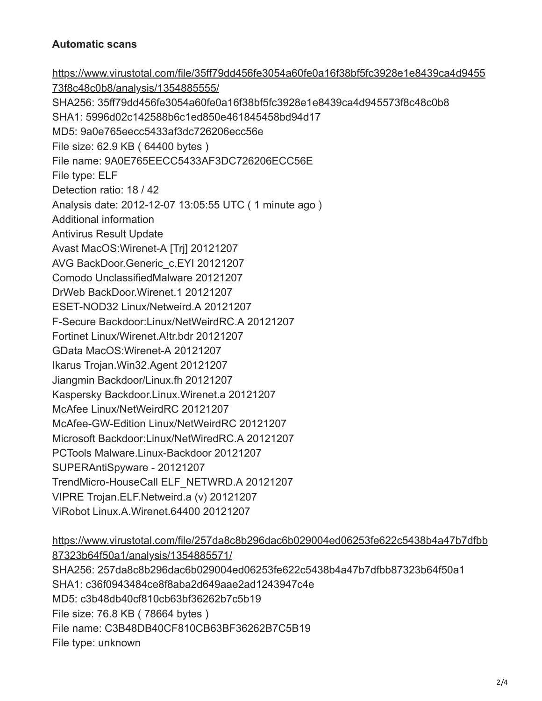## **Automatic scans**

[https://www.virustotal.com/file/35ff79dd456fe3054a60fe0a16f38bf5fc3928e1e8439ca4d9455](https://www.virustotal.com/file/35ff79dd456fe3054a60fe0a16f38bf5fc3928e1e8439ca4d945573f8c48c0b8/analysis/1354885555/) 73f8c48c0b8/analysis/1354885555/ SHA256: 35ff79dd456fe3054a60fe0a16f38bf5fc3928e1e8439ca4d945573f8c48c0b8 SHA1: 5996d02c142588b6c1ed850e461845458bd94d17 MD5: 9a0e765eecc5433af3dc726206ecc56e File size: 62.9 KB ( 64400 bytes ) File name: 9A0E765EECC5433AF3DC726206ECC56E File type: ELF Detection ratio: 18 / 42 Analysis date: 2012-12-07 13:05:55 UTC ( 1 minute ago ) Additional information Antivirus Result Update Avast MacOS:Wirenet-A [Trj] 20121207 AVG BackDoor.Generic\_c.EYI 20121207 Comodo UnclassifiedMalware 20121207 DrWeb BackDoor.Wirenet.1 20121207 ESET-NOD32 Linux/Netweird.A 20121207 F-Secure Backdoor:Linux/NetWeirdRC.A 20121207 Fortinet Linux/Wirenet.A!tr.bdr 20121207 GData MacOS:Wirenet-A 20121207 Ikarus Trojan.Win32.Agent 20121207 Jiangmin Backdoor/Linux.fh 20121207 Kaspersky Backdoor.Linux.Wirenet.a 20121207 McAfee Linux/NetWeirdRC 20121207 McAfee-GW-Edition Linux/NetWeirdRC 20121207 Microsoft Backdoor:Linux/NetWiredRC.A 20121207 PCTools Malware.Linux-Backdoor 20121207 SUPERAntiSpyware - 20121207 TrendMicro-HouseCall ELF\_NETWRD.A 20121207 VIPRE Trojan.ELF.Netweird.a (v) 20121207 ViRobot Linux.A.Wirenet.64400 20121207

[https://www.virustotal.com/file/257da8c8b296dac6b029004ed06253fe622c5438b4a47b7dfbb](https://www.virustotal.com/file/257da8c8b296dac6b029004ed06253fe622c5438b4a47b7dfbb87323b64f50a1/analysis/1354885571/) 87323b64f50a1/analysis/1354885571/ SHA256: 257da8c8b296dac6b029004ed06253fe622c5438b4a47b7dfbb87323b64f50a1 SHA1: c36f0943484ce8f8aba2d649aae2ad1243947c4e MD5: c3b48db40cf810cb63bf36262b7c5b19 File size: 76.8 KB ( 78664 bytes ) File name: C3B48DB40CF810CB63BF36262B7C5B19 File type: unknown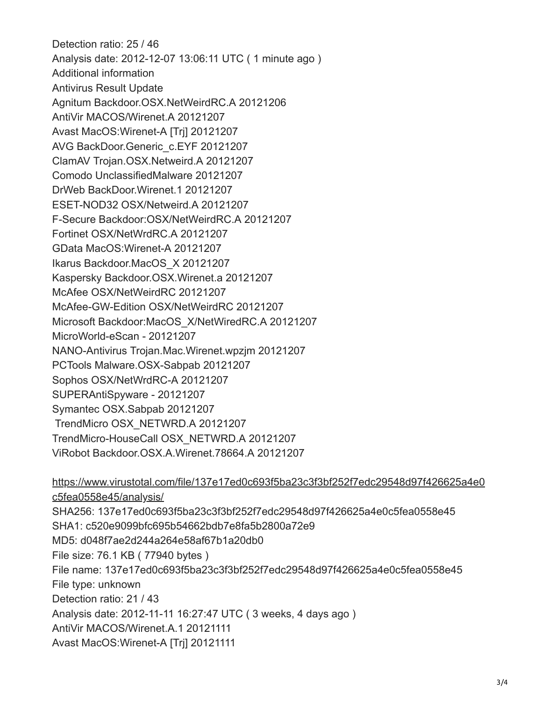Detection ratio: 25 / 46 Analysis date: 2012-12-07 13:06:11 UTC ( 1 minute ago ) Additional information Antivirus Result Update Agnitum Backdoor.OSX.NetWeirdRC.A 20121206 AntiVir MACOS/Wirenet.A 20121207 Avast MacOS:Wirenet-A [Trj] 20121207 AVG BackDoor.Generic\_c.EYF 20121207 ClamAV Trojan.OSX.Netweird.A 20121207 Comodo UnclassifiedMalware 20121207 DrWeb BackDoor.Wirenet.1 20121207 ESET-NOD32 OSX/Netweird.A 20121207 F-Secure Backdoor:OSX/NetWeirdRC.A 20121207 Fortinet OSX/NetWrdRC.A 20121207 GData MacOS:Wirenet-A 20121207 Ikarus Backdoor.MacOS\_X 20121207 Kaspersky Backdoor.OSX.Wirenet.a 20121207 McAfee OSX/NetWeirdRC 20121207 McAfee-GW-Edition OSX/NetWeirdRC 20121207 Microsoft Backdoor:MacOS\_X/NetWiredRC.A 20121207 MicroWorld-eScan - 20121207 NANO-Antivirus Trojan.Mac.Wirenet.wpzjm 20121207 PCTools Malware.OSX-Sabpab 20121207 Sophos OSX/NetWrdRC-A 20121207 SUPERAntiSpyware - 20121207 Symantec OSX.Sabpab 20121207 TrendMicro OSX\_NETWRD.A 20121207 TrendMicro-HouseCall OSX\_NETWRD.A 20121207 ViRobot Backdoor.OSX.A.Wirenet.78664.A 20121207

[https://www.virustotal.com/file/137e17ed0c693f5ba23c3f3bf252f7edc29548d97f426625a4e0](https://www.virustotal.com/file/137e17ed0c693f5ba23c3f3bf252f7edc29548d97f426625a4e0c5fea0558e45/analysis/) c5fea0558e45/analysis/ SHA256: 137e17ed0c693f5ba23c3f3bf252f7edc29548d97f426625a4e0c5fea0558e45 SHA1: c520e9099bfc695b54662bdb7e8fa5b2800a72e9 MD5: d048f7ae2d244a264e58af67b1a20db0 File size: 76.1 KB ( 77940 bytes ) File name: 137e17ed0c693f5ba23c3f3bf252f7edc29548d97f426625a4e0c5fea0558e45 File type: unknown Detection ratio: 21 / 43 Analysis date: 2012-11-11 16:27:47 UTC ( 3 weeks, 4 days ago ) AntiVir MACOS/Wirenet.A.1 20121111 Avast MacOS:Wirenet-A [Trj] 20121111